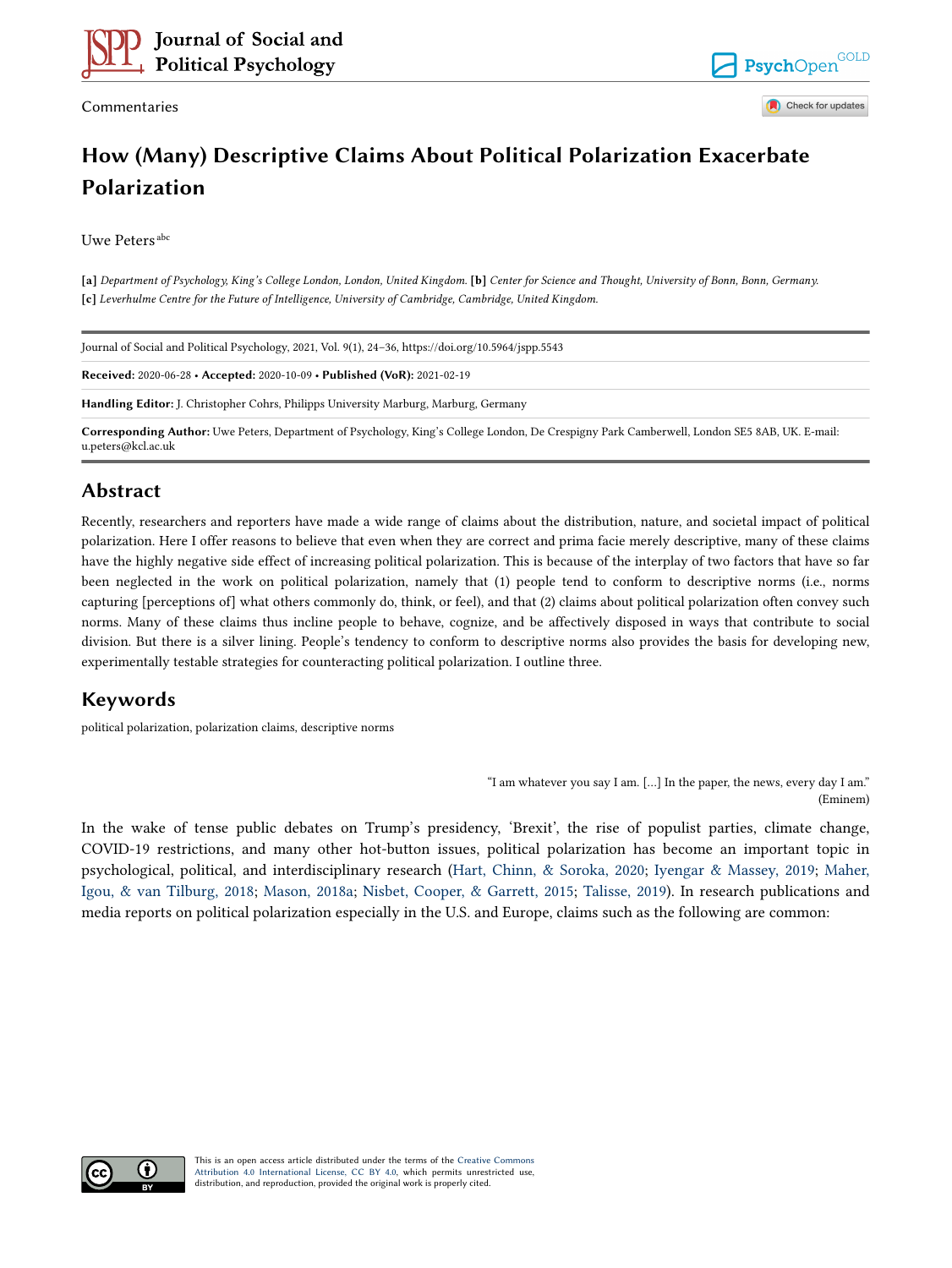

Commentaries

**GOLD** PsychOpen Check for updates

# **How (Many) Descriptive Claims About Political Polarization Exacerbate Polarization**

Uwe Peters abc

**[a]** *Department of Psychology, King's College London, London, United Kingdom.* **[b]** *Center for Science and Thought, University of Bonn, Bonn, Germany.*  **[c]** *Leverhulme Centre for the Future of Intelligence, University of Cambridge, Cambridge, United Kingdom.* 

| Journal of Social and Political Psychology, 2021, Vol. 9(1), 24–36, https://doi.org/10.5964/jspp.5543                                                              |
|--------------------------------------------------------------------------------------------------------------------------------------------------------------------|
| Received: 2020-06-28 • Accepted: 2020-10-09 • Published (VoR): 2021-02-19                                                                                          |
| Handling Editor: J. Christopher Cohrs, Philipps University Marburg, Marburg, Germany                                                                               |
| Corresponding Author: Uwe Peters, Department of Psychology, King's College London, De Crespigny Park Camberwell, London SE5 8AB, UK. E-mail:<br>u.peters@kcl.ac.uk |

# **Abstract**

Recently, researchers and reporters have made a wide range of claims about the distribution, nature, and societal impact of political polarization. Here I offer reasons to believe that even when they are correct and prima facie merely descriptive, many of these claims have the highly negative side effect of increasing political polarization. This is because of the interplay of two factors that have so far been neglected in the work on political polarization, namely that (1) people tend to conform to descriptive norms (i.e., norms capturing [perceptions of] what others commonly do, think, or feel), and that (2) claims about political polarization often convey such norms. Many of these claims thus incline people to behave, cognize, and be affectively disposed in ways that contribute to social division. But there is a silver lining. People's tendency to conform to descriptive norms also provides the basis for developing new, experimentally testable strategies for counteracting political polarization. I outline three.

# **Keywords**

political polarization, polarization claims, descriptive norms

"I am whatever you say I am. […] In the paper, the news, every day I am." (Eminem)

In the wake of tense public debates on Trump's presidency, 'Brexit', the rise of populist parties, climate change, COVID-19 restrictions, and many other hot-button issues, political polarization has become an important topic in psychological, political, and interdisciplinary research [\(Hart, Chinn, & Soroka, 2020](#page-9-0); [Iyengar & Massey, 2019;](#page-10-0) [Maher,](#page-10-0) [Igou, & van Tilburg, 2018](#page-10-0); [Mason, 2018a](#page-10-0); [Nisbet, Cooper, & Garrett, 2015](#page-10-0); [Talisse, 2019](#page-11-0)). In research publications and media reports on political polarization especially in the U.S. and Europe, claims such as the following are common:

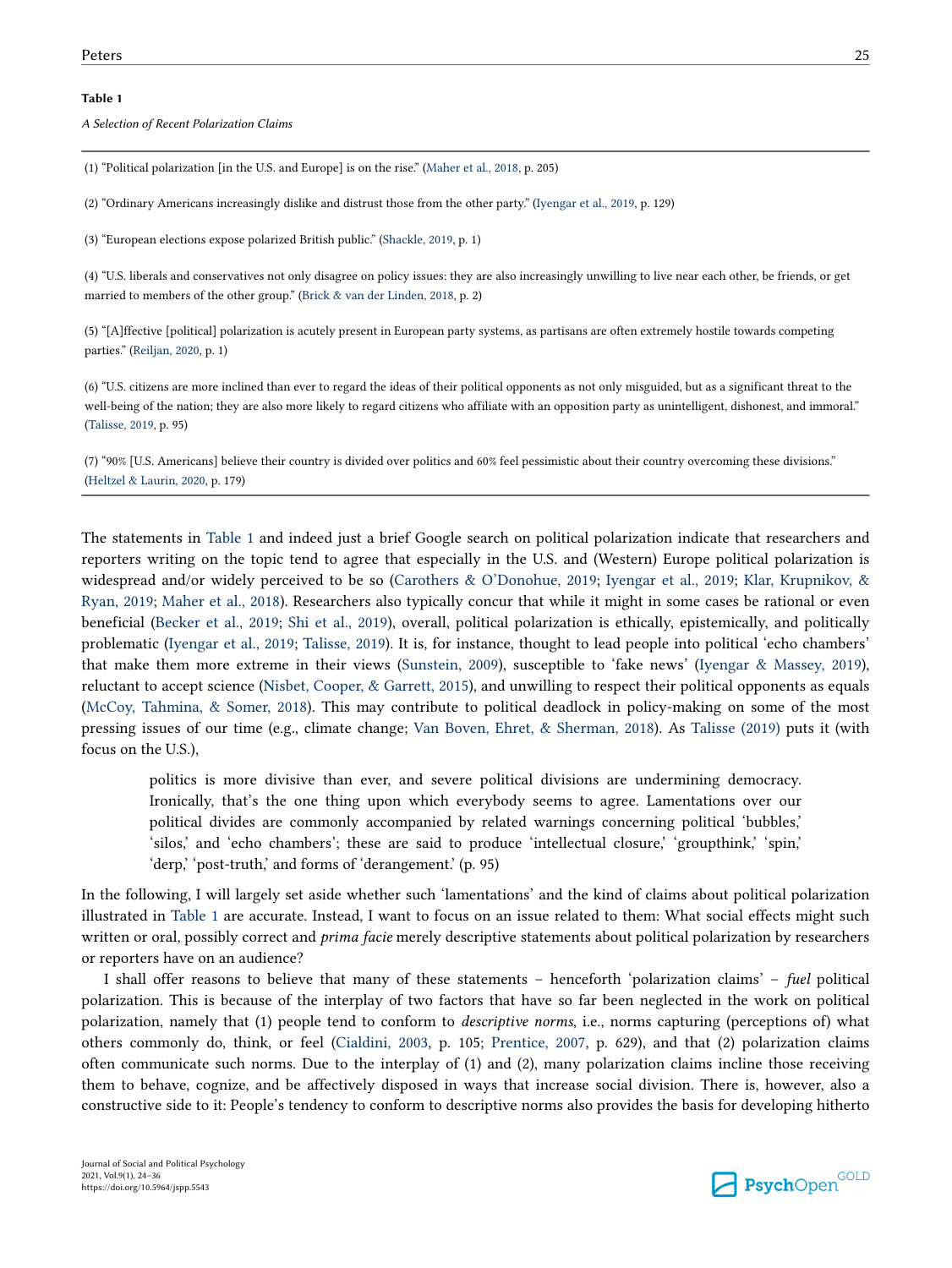#### <span id="page-1-0"></span>**Table 1**

*A Selection of Recent Polarization Claims*

(1) "Political polarization [in the U.S. and Europe] is on the rise." ([Maher et al., 2018](#page-10-0), p. 205)

(2) "Ordinary Americans increasingly dislike and distrust those from the other party." ([Iyengar et al., 2019](#page-10-0), p. 129)

(3) "European elections expose polarized British public." ([Shackle, 2019](#page-11-0), p. 1)

(4) "U.S. liberals and conservatives not only disagree on policy issues: they are also increasingly unwilling to live near each other, be friends, or get married to members of the other group." [\(Brick & van der Linden, 2018,](#page-9-0) p. 2)

(5) "[A]ffective [political] polarization is acutely present in European party systems, as partisans are often extremely hostile towards competing parties." [\(Reiljan, 2020,](#page-11-0) p. 1)

(6) "U.S. citizens are more inclined than ever to regard the ideas of their political opponents as not only misguided, but as a significant threat to the well-being of the nation; they are also more likely to regard citizens who affiliate with an opposition party as unintelligent, dishonest, and immoral." [\(Talisse, 2019](#page-11-0), p. 95)

(7) "90% [U.S. Americans] believe their country is divided over politics and 60% feel pessimistic about their country overcoming these divisions." [\(Heltzel & Laurin, 2020](#page-10-0), p. 179)

The statements in Table 1 and indeed just a brief Google search on political polarization indicate that researchers and reporters writing on the topic tend to agree that especially in the U.S. and (Western) Europe political polarization is widespread and/or widely perceived to be so ([Carothers & O'Donohue, 2019](#page-9-0); [Iyengar et al., 2019](#page-10-0); [Klar, Krupnikov, &](#page-10-0) [Ryan, 2019;](#page-10-0) [Maher et al., 2018](#page-10-0)). Researchers also typically concur that while it might in some cases be rational or even beneficial [\(Becker et al., 2019](#page-9-0); [Shi et al., 2019](#page-11-0)), overall, political polarization is ethically, epistemically, and politically problematic ([Iyengar et al., 2019](#page-10-0); [Talisse, 2019](#page-11-0)). It is, for instance, thought to lead people into political 'echo chambers' that make them more extreme in their views ([Sunstein, 2009\)](#page-11-0), susceptible to 'fake news' ([Iyengar & Massey, 2019](#page-10-0)), reluctant to accept science [\(Nisbet, Cooper, & Garrett, 2015](#page-10-0)), and unwilling to respect their political opponents as equals [\(McCoy, Tahmina, & Somer, 2018](#page-10-0)). This may contribute to political deadlock in policy-making on some of the most pressing issues of our time (e.g., climate change; [Van Boven, Ehret, & Sherman, 2018](#page-11-0)). As [Talisse \(2019\)](#page-11-0) puts it (with focus on the U.S.),

politics is more divisive than ever, and severe political divisions are undermining democracy. Ironically, that's the one thing upon which everybody seems to agree. Lamentations over our political divides are commonly accompanied by related warnings concerning political 'bubbles,' 'silos,' and 'echo chambers'; these are said to produce 'intellectual closure,' 'groupthink,' 'spin,' 'derp,' 'post-truth,' and forms of 'derangement.' (p. 95)

In the following, I will largely set aside whether such 'lamentations' and the kind of claims about political polarization illustrated in Table 1 are accurate. Instead, I want to focus on an issue related to them: What social effects might such written or oral, possibly correct and *prima facie* merely descriptive statements about political polarization by researchers or reporters have on an audience?

I shall offer reasons to believe that many of these statements – henceforth 'polarization claims' – *fuel* political polarization. This is because of the interplay of two factors that have so far been neglected in the work on political polarization, namely that (1) people tend to conform to *descriptive norms*, i.e., norms capturing (perceptions of) what others commonly do, think, or feel [\(Cialdini, 2003,](#page-9-0) p. 105; [Prentice, 2007](#page-11-0), p. 629), and that (2) polarization claims often communicate such norms. Due to the interplay of (1) and (2), many polarization claims incline those receiving them to behave, cognize, and be affectively disposed in ways that increase social division. There is, however, also a constructive side to it: People's tendency to conform to descriptive norms also provides the basis for developing hitherto

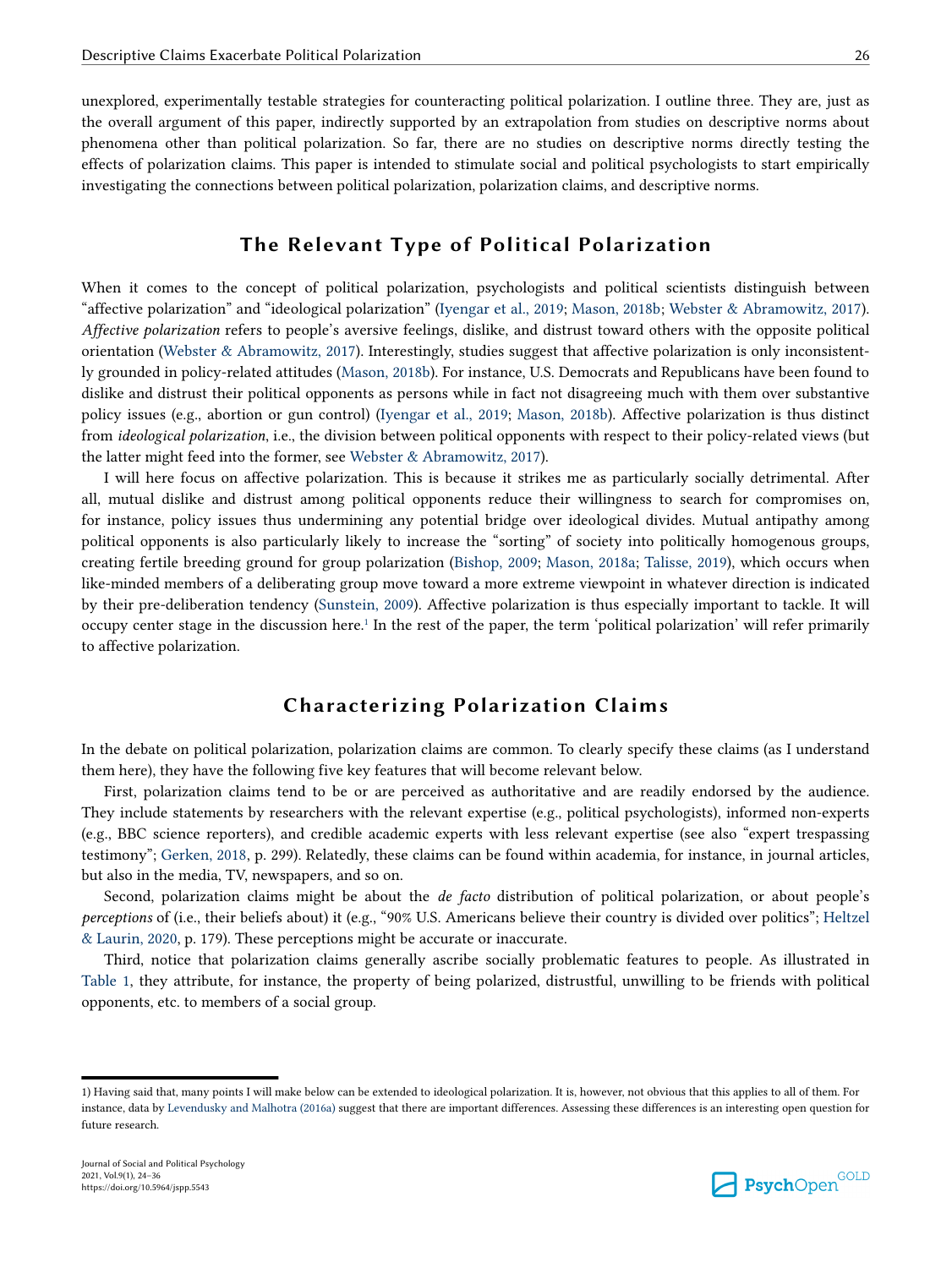unexplored, experimentally testable strategies for counteracting political polarization. I outline three. They are, just as the overall argument of this paper, indirectly supported by an extrapolation from studies on descriptive norms about phenomena other than political polarization. So far, there are no studies on descriptive norms directly testing the effects of polarization claims. This paper is intended to stimulate social and political psychologists to start empirically investigating the connections between political polarization, polarization claims, and descriptive norms.

## **The Relevant Type of Political Polarization**

When it comes to the concept of political polarization, psychologists and political scientists distinguish between "affective polarization" and "ideological polarization" [\(Iyengar et al., 2019;](#page-10-0) [Mason, 2018b;](#page-10-0) [Webster & Abramowitz, 2017](#page-11-0)). *Affective polarization* refers to people's aversive feelings, dislike, and distrust toward others with the opposite political orientation [\(Webster & Abramowitz, 2017\)](#page-11-0). Interestingly, studies suggest that affective polarization is only inconsistently grounded in policy-related attitudes ([Mason, 2018b](#page-10-0)). For instance, U.S. Democrats and Republicans have been found to dislike and distrust their political opponents as persons while in fact not disagreeing much with them over substantive policy issues (e.g., abortion or gun control) [\(Iyengar et al., 2019;](#page-10-0) [Mason, 2018b](#page-10-0)). Affective polarization is thus distinct from *ideological polarization*, i.e., the division between political opponents with respect to their policy-related views (but the latter might feed into the former, see [Webster & Abramowitz, 2017](#page-11-0)).

I will here focus on affective polarization. This is because it strikes me as particularly socially detrimental. After all, mutual dislike and distrust among political opponents reduce their willingness to search for compromises on, for instance, policy issues thus undermining any potential bridge over ideological divides. Mutual antipathy among political opponents is also particularly likely to increase the "sorting" of society into politically homogenous groups, creating fertile breeding ground for group polarization [\(Bishop, 2009](#page-9-0); [Mason, 2018a;](#page-10-0) [Talisse, 2019\)](#page-11-0), which occurs when like-minded members of a deliberating group move toward a more extreme viewpoint in whatever direction is indicated by their pre-deliberation tendency ([Sunstein, 2009\)](#page-11-0). Affective polarization is thus especially important to tackle. It will occupy center stage in the discussion here.<sup>1</sup> In the rest of the paper, the term 'political polarization' will refer primarily to affective polarization.

# **Characterizing Polarization Claims**

In the debate on political polarization, polarization claims are common. To clearly specify these claims (as I understand them here), they have the following five key features that will become relevant below.

First, polarization claims tend to be or are perceived as authoritative and are readily endorsed by the audience. They include statements by researchers with the relevant expertise (e.g., political psychologists), informed non-experts (e.g., BBC science reporters), and credible academic experts with less relevant expertise (see also "expert trespassing testimony"; [Gerken, 2018,](#page-9-0) p. 299). Relatedly, these claims can be found within academia, for instance, in journal articles, but also in the media, TV, newspapers, and so on.

Second, polarization claims might be about the *de facto* distribution of political polarization, or about people's *perceptions* of (i.e., their beliefs about) it (e.g., "90% U.S. Americans believe their country is divided over politics"; [Heltzel](#page-10-0) [& Laurin, 2020,](#page-10-0) p. 179). These perceptions might be accurate or inaccurate.

Third, notice that polarization claims generally ascribe socially problematic features to people. As illustrated in [Table 1](#page-1-0), they attribute, for instance, the property of being polarized, distrustful, unwilling to be friends with political opponents, etc. to members of a social group.



<sup>1)</sup> Having said that, many points I will make below can be extended to ideological polarization. It is, however, not obvious that this applies to all of them. For instance, data by [Levendusky and Malhotra \(2016a\)](#page-10-0) suggest that there are important differences. Assessing these differences is an interesting open question for future research.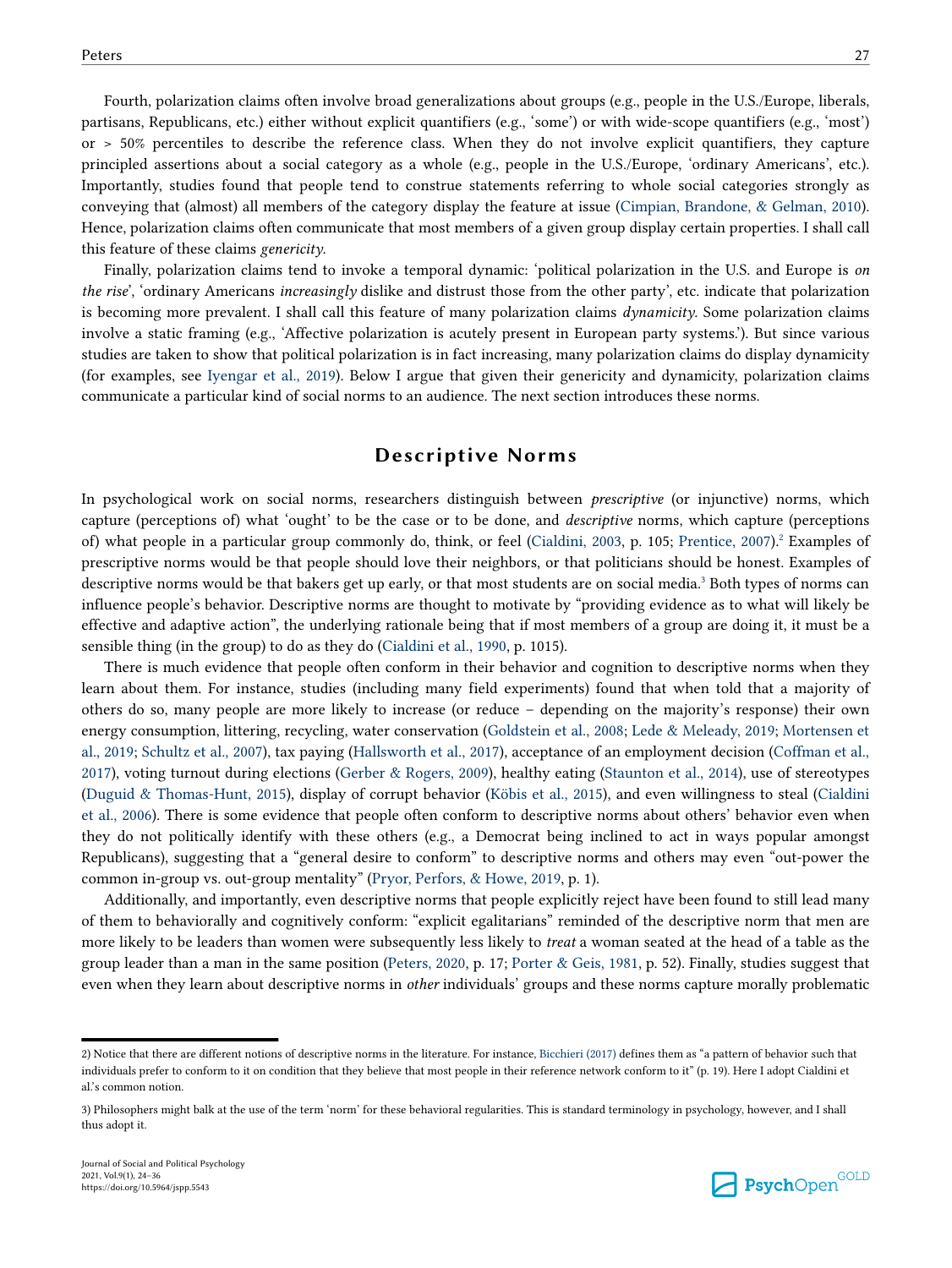Fourth, polarization claims often involve broad generalizations about groups (e.g., people in the U.S./Europe, liberals, partisans, Republicans, etc.) either without explicit quantifiers (e.g., 'some') or with wide-scope quantifiers (e.g., 'most') or > 50% percentiles to describe the reference class. When they do not involve explicit quantifiers, they capture principled assertions about a social category as a whole (e.g., people in the U.S./Europe, 'ordinary Americans', etc.). Importantly, studies found that people tend to construe statements referring to whole social categories strongly as conveying that (almost) all members of the category display the feature at issue [\(Cimpian, Brandone, & Gelman, 2010](#page-9-0)). Hence, polarization claims often communicate that most members of a given group display certain properties. I shall call this feature of these claims *genericity*.

Finally, polarization claims tend to invoke a temporal dynamic: 'political polarization in the U.S. and Europe is *on the rise*', 'ordinary Americans *increasingly* dislike and distrust those from the other party', etc. indicate that polarization is becoming more prevalent. I shall call this feature of many polarization claims *dynamicity*. Some polarization claims involve a static framing (e.g., 'Affective polarization is acutely present in European party systems.'). But since various studies are taken to show that political polarization is in fact increasing, many polarization claims do display dynamicity (for examples, see [Iyengar et al., 2019](#page-10-0)). Below I argue that given their genericity and dynamicity, polarization claims communicate a particular kind of social norms to an audience. The next section introduces these norms.

### **Descriptive Norms**

In psychological work on social norms, researchers distinguish between *prescriptive* (or injunctive) norms, which capture (perceptions of) what 'ought' to be the case or to be done, and *descriptive* norms, which capture (perceptions of) what people in a particular group commonly do, think, or feel ([Cialdini, 2003](#page-9-0), p. 105; [Prentice, 2007](#page-11-0)).<sup>2</sup> Examples of prescriptive norms would be that people should love their neighbors, or that politicians should be honest. Examples of descriptive norms would be that bakers get up early, or that most students are on social media.<sup>3</sup> Both types of norms can influence people's behavior. Descriptive norms are thought to motivate by "providing evidence as to what will likely be effective and adaptive action", the underlying rationale being that if most members of a group are doing it, it must be a sensible thing (in the group) to do as they do [\(Cialdini et al., 1990,](#page-9-0) p. 1015).

There is much evidence that people often conform in their behavior and cognition to descriptive norms when they learn about them. For instance, studies (including many field experiments) found that when told that a majority of others do so, many people are more likely to increase (or reduce – depending on the majority's response) their own energy consumption, littering, recycling, water conservation [\(Goldstein et al., 2008](#page-9-0); [Lede & Meleady, 2019;](#page-10-0) [Mortensen et](#page-10-0) [al., 2019;](#page-10-0) [Schultz et al., 2007](#page-11-0)), tax paying [\(Hallsworth et al., 2017\)](#page-9-0), acceptance of an employment decision [\(Coffman et al.,](#page-9-0) [2017\)](#page-9-0), voting turnout during elections ([Gerber & Rogers, 2009\)](#page-9-0), healthy eating ([Staunton et al., 2014\)](#page-11-0), use of stereotypes [\(Duguid & Thomas-Hunt, 2015](#page-9-0)), display of corrupt behavior ([Köbis et al., 2015](#page-10-0)), and even willingness to steal ([Cialdini](#page-9-0) [et al., 2006](#page-9-0)). There is some evidence that people often conform to descriptive norms about others' behavior even when they do not politically identify with these others (e.g., a Democrat being inclined to act in ways popular amongst Republicans), suggesting that a "general desire to conform" to descriptive norms and others may even "out-power the common in-group vs. out-group mentality" ([Pryor, Perfors, & Howe, 2019](#page-11-0), p. 1).

Additionally, and importantly, even descriptive norms that people explicitly reject have been found to still lead many of them to behaviorally and cognitively conform: "explicit egalitarians" reminded of the descriptive norm that men are more likely to be leaders than women were subsequently less likely to *treat* a woman seated at the head of a table as the group leader than a man in the same position ([Peters, 2020](#page-11-0), p. 17; [Porter & Geis, 1981](#page-11-0), p. 52). Finally, studies suggest that even when they learn about descriptive norms in *other* individuals' groups and these norms capture morally problematic



<sup>2)</sup> Notice that there are different notions of descriptive norms in the literature. For instance, [Bicchieri \(2017\)](#page-9-0) defines them as "a pattern of behavior such that individuals prefer to conform to it on condition that they believe that most people in their reference network conform to it" (p. 19). Here I adopt Cialdini et al.'s common notion.

<sup>3)</sup> Philosophers might balk at the use of the term 'norm' for these behavioral regularities. This is standard terminology in psychology, however, and I shall thus adopt it.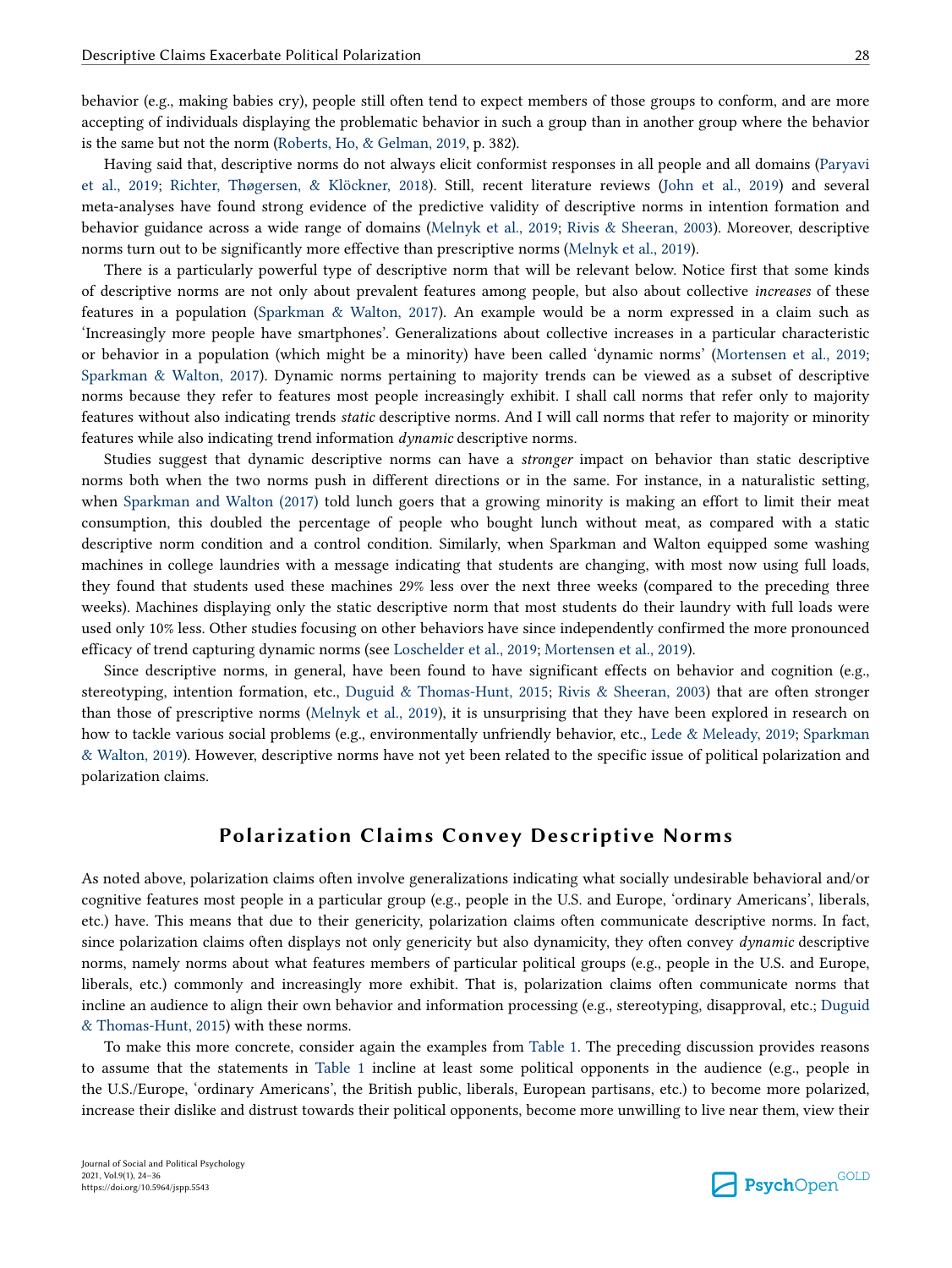behavior (e.g., making babies cry), people still often tend to expect members of those groups to conform, and are more accepting of individuals displaying the problematic behavior in such a group than in another group where the behavior is the same but not the norm [\(Roberts, Ho, & Gelman, 2019,](#page-11-0) p. 382).

Having said that, descriptive norms do not always elicit conformist responses in all people and all domains ([Paryavi](#page-10-0) [et al., 2019](#page-10-0); [Richter, Thøgersen, & Klöckner, 2018](#page-11-0)). Still, recent literature reviews [\(John et al., 2019](#page-10-0)) and several meta-analyses have found strong evidence of the predictive validity of descriptive norms in intention formation and behavior guidance across a wide range of domains ([Melnyk et al., 2019](#page-10-0); [Rivis & Sheeran, 2003](#page-11-0)). Moreover, descriptive norms turn out to be significantly more effective than prescriptive norms ([Melnyk et al., 2019](#page-10-0)).

There is a particularly powerful type of descriptive norm that will be relevant below. Notice first that some kinds of descriptive norms are not only about prevalent features among people, but also about collective *increases* of these features in a population ([Sparkman & Walton, 2017](#page-11-0)). An example would be a norm expressed in a claim such as 'Increasingly more people have smartphones'. Generalizations about collective increases in a particular characteristic or behavior in a population (which might be a minority) have been called 'dynamic norms' [\(Mortensen et al., 2019;](#page-10-0) [Sparkman & Walton, 2017](#page-11-0)). Dynamic norms pertaining to majority trends can be viewed as a subset of descriptive norms because they refer to features most people increasingly exhibit. I shall call norms that refer only to majority features without also indicating trends *static* descriptive norms. And I will call norms that refer to majority or minority features while also indicating trend information *dynamic* descriptive norms.

Studies suggest that dynamic descriptive norms can have a *stronger* impact on behavior than static descriptive norms both when the two norms push in different directions or in the same. For instance, in a naturalistic setting, when [Sparkman and Walton \(2017\)](#page-11-0) told lunch goers that a growing minority is making an effort to limit their meat consumption, this doubled the percentage of people who bought lunch without meat, as compared with a static descriptive norm condition and a control condition. Similarly, when Sparkman and Walton equipped some washing machines in college laundries with a message indicating that students are changing, with most now using full loads, they found that students used these machines 29% less over the next three weeks (compared to the preceding three weeks). Machines displaying only the static descriptive norm that most students do their laundry with full loads were used only 10% less. Other studies focusing on other behaviors have since independently confirmed the more pronounced efficacy of trend capturing dynamic norms (see [Loschelder et al., 2019](#page-10-0); [Mortensen et al., 2019](#page-10-0)).

Since descriptive norms, in general, have been found to have significant effects on behavior and cognition (e.g., stereotyping, intention formation, etc., [Duguid & Thomas-Hunt, 2015](#page-9-0); [Rivis & Sheeran, 2003\)](#page-11-0) that are often stronger than those of prescriptive norms ([Melnyk et al., 2019](#page-10-0)), it is unsurprising that they have been explored in research on how to tackle various social problems (e.g., environmentally unfriendly behavior, etc., [Lede & Meleady, 2019;](#page-10-0) [Sparkman](#page-11-0) [& Walton, 2019](#page-11-0)). However, descriptive norms have not yet been related to the specific issue of political polarization and polarization claims.

# **Polarization Claims Convey Descriptive Norms**

As noted above, polarization claims often involve generalizations indicating what socially undesirable behavioral and/or cognitive features most people in a particular group (e.g., people in the U.S. and Europe, 'ordinary Americans', liberals, etc.) have. This means that due to their genericity, polarization claims often communicate descriptive norms. In fact, since polarization claims often displays not only genericity but also dynamicity, they often convey *dynamic* descriptive norms, namely norms about what features members of particular political groups (e.g., people in the U.S. and Europe, liberals, etc.) commonly and increasingly more exhibit. That is, polarization claims often communicate norms that incline an audience to align their own behavior and information processing (e.g., stereotyping, disapproval, etc.; [Duguid](#page-9-0) [& Thomas-Hunt, 2015](#page-9-0)) with these norms.

To make this more concrete, consider again the examples from [Table 1](#page-1-0). The preceding discussion provides reasons to assume that the statements in [Table 1](#page-1-0) incline at least some political opponents in the audience (e.g., people in the U.S./Europe, 'ordinary Americans', the British public, liberals, European partisans, etc.) to become more polarized, increase their dislike and distrust towards their political opponents, become more unwilling to live near them, view their

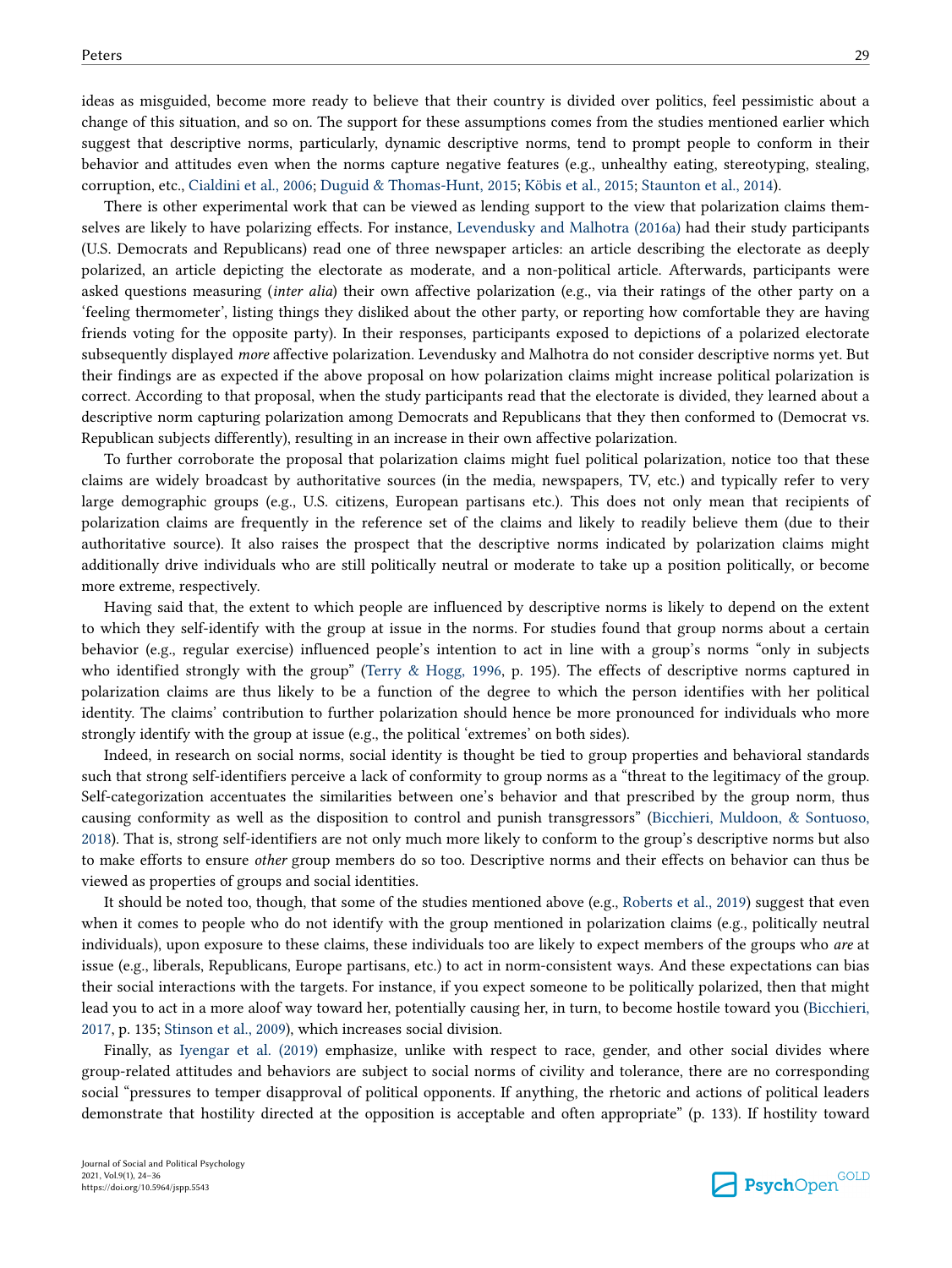ideas as misguided, become more ready to believe that their country is divided over politics, feel pessimistic about a change of this situation, and so on. The support for these assumptions comes from the studies mentioned earlier which suggest that descriptive norms, particularly, dynamic descriptive norms, tend to prompt people to conform in their behavior and attitudes even when the norms capture negative features (e.g., unhealthy eating, stereotyping, stealing, corruption, etc., [Cialdini et al., 2006;](#page-9-0) [Duguid & Thomas-Hunt, 2015;](#page-9-0) [Köbis et al., 2015;](#page-10-0) [Staunton et al., 2014\)](#page-11-0).

There is other experimental work that can be viewed as lending support to the view that polarization claims themselves are likely to have polarizing effects. For instance, [Levendusky and Malhotra \(2016a\)](#page-10-0) had their study participants (U.S. Democrats and Republicans) read one of three newspaper articles: an article describing the electorate as deeply polarized, an article depicting the electorate as moderate, and a non-political article. Afterwards, participants were asked questions measuring (*inter alia*) their own affective polarization (e.g., via their ratings of the other party on a 'feeling thermometer', listing things they disliked about the other party, or reporting how comfortable they are having friends voting for the opposite party). In their responses, participants exposed to depictions of a polarized electorate subsequently displayed *more* affective polarization. Levendusky and Malhotra do not consider descriptive norms yet. But their findings are as expected if the above proposal on how polarization claims might increase political polarization is correct. According to that proposal, when the study participants read that the electorate is divided, they learned about a descriptive norm capturing polarization among Democrats and Republicans that they then conformed to (Democrat vs. Republican subjects differently), resulting in an increase in their own affective polarization.

To further corroborate the proposal that polarization claims might fuel political polarization, notice too that these claims are widely broadcast by authoritative sources (in the media, newspapers, TV, etc.) and typically refer to very large demographic groups (e.g., U.S. citizens, European partisans etc.). This does not only mean that recipients of polarization claims are frequently in the reference set of the claims and likely to readily believe them (due to their authoritative source). It also raises the prospect that the descriptive norms indicated by polarization claims might additionally drive individuals who are still politically neutral or moderate to take up a position politically, or become more extreme, respectively.

Having said that, the extent to which people are influenced by descriptive norms is likely to depend on the extent to which they self-identify with the group at issue in the norms. For studies found that group norms about a certain behavior (e.g., regular exercise) influenced people's intention to act in line with a group's norms "only in subjects who identified strongly with the group" ([Terry & Hogg, 1996,](#page-11-0) p. 195). The effects of descriptive norms captured in polarization claims are thus likely to be a function of the degree to which the person identifies with her political identity. The claims' contribution to further polarization should hence be more pronounced for individuals who more strongly identify with the group at issue (e.g., the political 'extremes' on both sides).

Indeed, in research on social norms, social identity is thought be tied to group properties and behavioral standards such that strong self-identifiers perceive a lack of conformity to group norms as a "threat to the legitimacy of the group. Self-categorization accentuates the similarities between one's behavior and that prescribed by the group norm, thus causing conformity as well as the disposition to control and punish transgressors" [\(Bicchieri, Muldoon, & Sontuoso,](#page-9-0) [2018\)](#page-9-0). That is, strong self-identifiers are not only much more likely to conform to the group's descriptive norms but also to make efforts to ensure *other* group members do so too. Descriptive norms and their effects on behavior can thus be viewed as properties of groups and social identities.

It should be noted too, though, that some of the studies mentioned above (e.g., [Roberts et al., 2019\)](#page-11-0) suggest that even when it comes to people who do not identify with the group mentioned in polarization claims (e.g., politically neutral individuals), upon exposure to these claims, these individuals too are likely to expect members of the groups who *are* at issue (e.g., liberals, Republicans, Europe partisans, etc.) to act in norm-consistent ways. And these expectations can bias their social interactions with the targets. For instance, if you expect someone to be politically polarized, then that might lead you to act in a more aloof way toward her, potentially causing her, in turn, to become hostile toward you ([Bicchieri,](#page-9-0) [2017,](#page-9-0) p. 135; [Stinson et al., 2009\)](#page-11-0), which increases social division.

Finally, as [Iyengar et al. \(2019\)](#page-10-0) emphasize, unlike with respect to race, gender, and other social divides where group-related attitudes and behaviors are subject to social norms of civility and tolerance, there are no corresponding social "pressures to temper disapproval of political opponents. If anything, the rhetoric and actions of political leaders demonstrate that hostility directed at the opposition is acceptable and often appropriate" (p. 133). If hostility toward

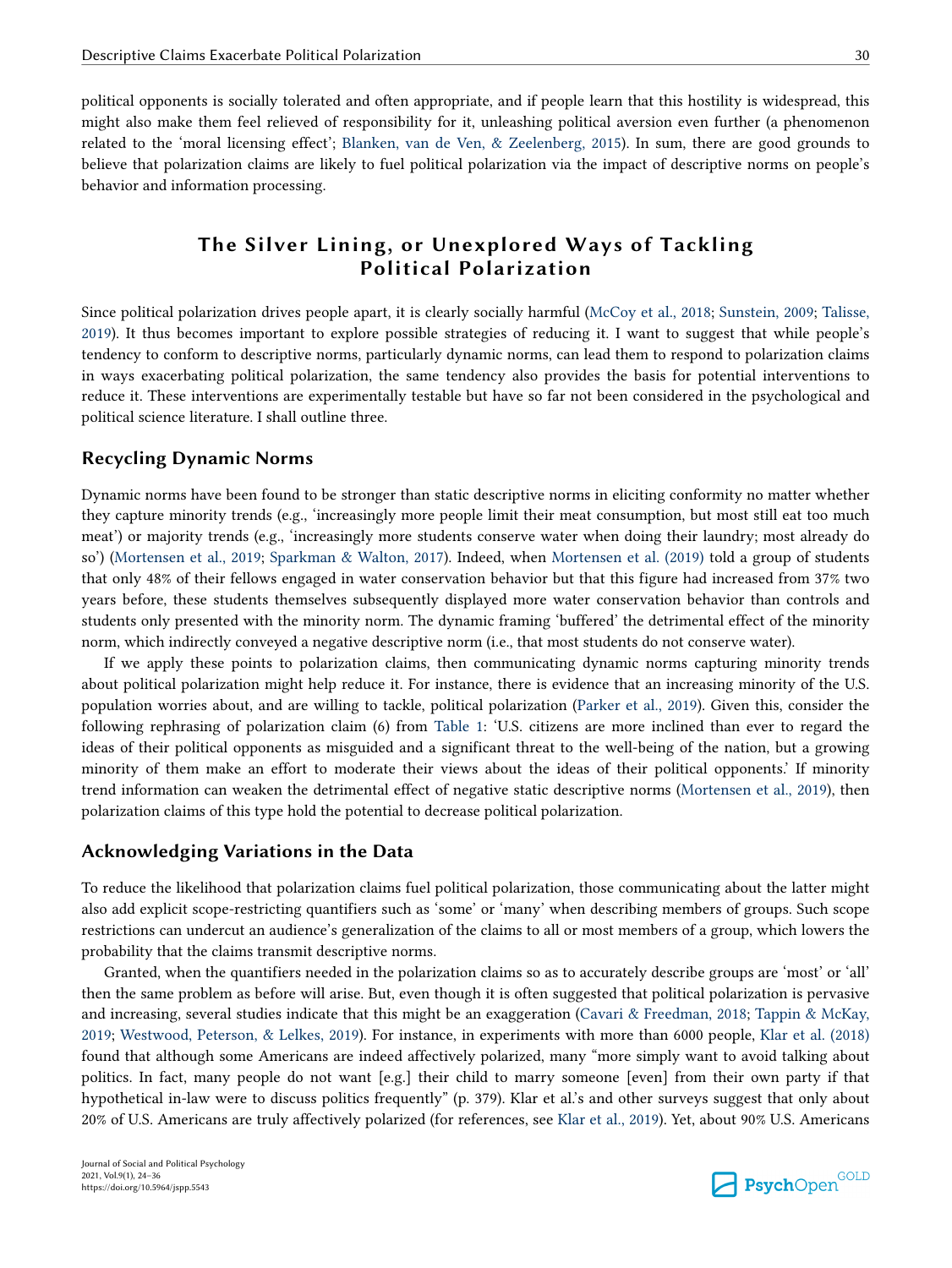political opponents is socially tolerated and often appropriate, and if people learn that this hostility is widespread, this might also make them feel relieved of responsibility for it, unleashing political aversion even further (a phenomenon related to the 'moral licensing effect'; [Blanken, van de Ven, & Zeelenberg, 2015\)](#page-9-0). In sum, there are good grounds to believe that polarization claims are likely to fuel political polarization via the impact of descriptive norms on people's behavior and information processing.

# **The Silver Lining, or Unexplored Ways of Tackling Political Polarization**

Since political polarization drives people apart, it is clearly socially harmful [\(McCoy et al., 2018;](#page-10-0) [Sunstein, 2009](#page-11-0); [Talisse,](#page-11-0) [2019\)](#page-11-0). It thus becomes important to explore possible strategies of reducing it. I want to suggest that while people's tendency to conform to descriptive norms, particularly dynamic norms, can lead them to respond to polarization claims in ways exacerbating political polarization, the same tendency also provides the basis for potential interventions to reduce it. These interventions are experimentally testable but have so far not been considered in the psychological and political science literature. I shall outline three.

#### **Recycling Dynamic Norms**

Dynamic norms have been found to be stronger than static descriptive norms in eliciting conformity no matter whether they capture minority trends (e.g., 'increasingly more people limit their meat consumption, but most still eat too much meat') or majority trends (e.g., 'increasingly more students conserve water when doing their laundry; most already do so') ([Mortensen et al., 2019](#page-10-0); [Sparkman & Walton, 2017\)](#page-11-0). Indeed, when [Mortensen et al. \(2019\)](#page-10-0) told a group of students that only 48% of their fellows engaged in water conservation behavior but that this figure had increased from 37% two years before, these students themselves subsequently displayed more water conservation behavior than controls and students only presented with the minority norm. The dynamic framing 'buffered' the detrimental effect of the minority norm, which indirectly conveyed a negative descriptive norm (i.e., that most students do not conserve water).

If we apply these points to polarization claims, then communicating dynamic norms capturing minority trends about political polarization might help reduce it. For instance, there is evidence that an increasing minority of the U.S. population worries about, and are willing to tackle, political polarization [\(Parker et al., 2019](#page-10-0)). Given this, consider the following rephrasing of polarization claim (6) from [Table 1](#page-1-0): 'U.S. citizens are more inclined than ever to regard the ideas of their political opponents as misguided and a significant threat to the well-being of the nation, but a growing minority of them make an effort to moderate their views about the ideas of their political opponents.' If minority trend information can weaken the detrimental effect of negative static descriptive norms [\(Mortensen et al., 2019](#page-10-0)), then polarization claims of this type hold the potential to decrease political polarization.

#### **Acknowledging Variations in the Data**

To reduce the likelihood that polarization claims fuel political polarization, those communicating about the latter might also add explicit scope-restricting quantifiers such as 'some' or 'many' when describing members of groups. Such scope restrictions can undercut an audience's generalization of the claims to all or most members of a group, which lowers the probability that the claims transmit descriptive norms.

Granted, when the quantifiers needed in the polarization claims so as to accurately describe groups are 'most' or 'all' then the same problem as before will arise. But, even though it is often suggested that political polarization is pervasive and increasing, several studies indicate that this might be an exaggeration [\(Cavari & Freedman, 2018](#page-9-0); [Tappin & McKay,](#page-11-0) [2019;](#page-11-0) [Westwood, Peterson, & Lelkes, 2019\)](#page-12-0). For instance, in experiments with more than 6000 people, [Klar et al. \(2018\)](#page-10-0) found that although some Americans are indeed affectively polarized, many "more simply want to avoid talking about politics. In fact, many people do not want [e.g.] their child to marry someone [even] from their own party if that hypothetical in-law were to discuss politics frequently" (p. 379). Klar et al.'s and other surveys suggest that only about 20% of U.S. Americans are truly affectively polarized (for references, see [Klar et al., 2019](#page-10-0)). Yet, about 90% U.S. Americans

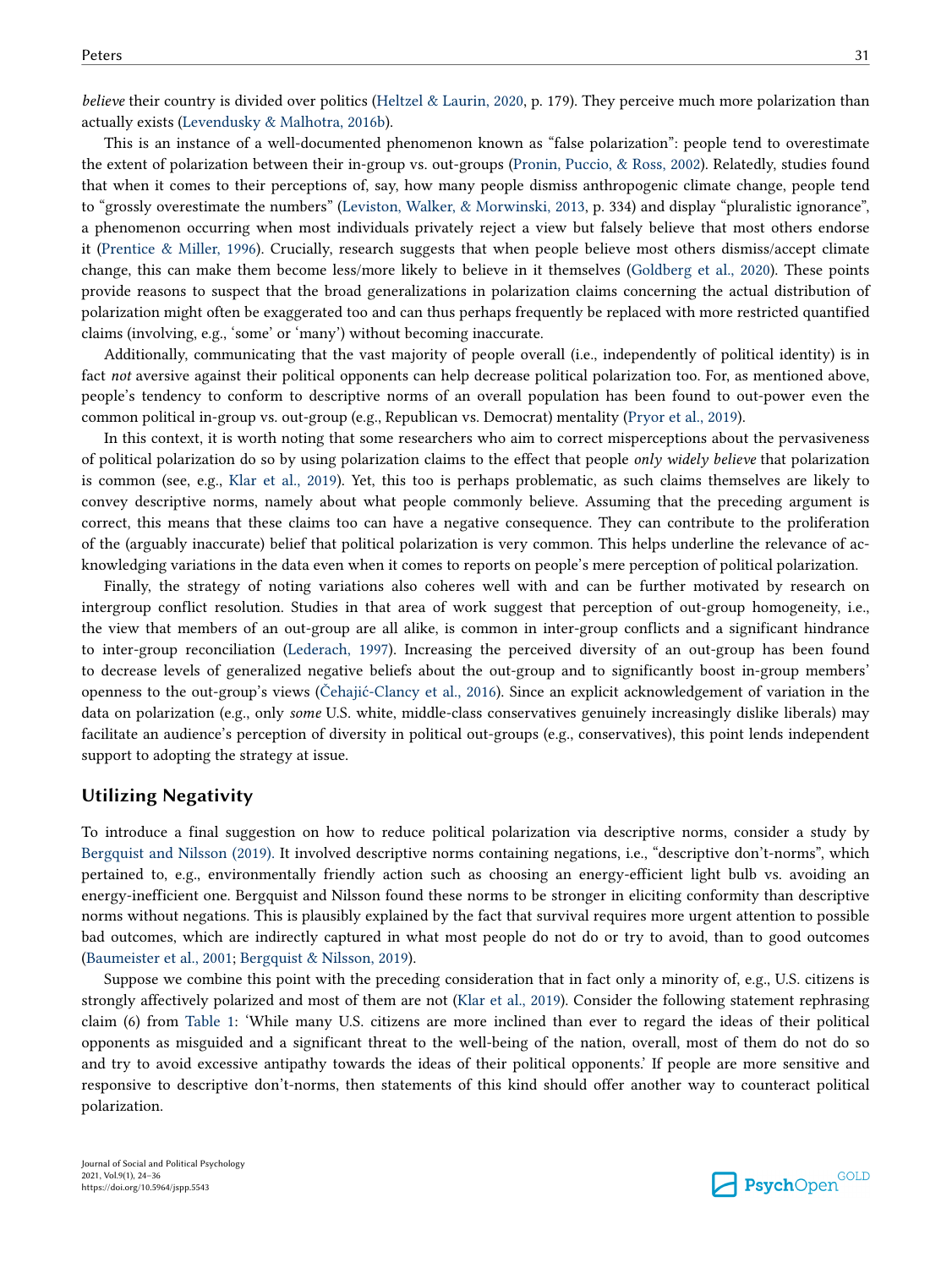*believe* their country is divided over politics ([Heltzel & Laurin, 2020,](#page-10-0) p. 179). They perceive much more polarization than actually exists [\(Levendusky & Malhotra, 2016b](#page-10-0)).

This is an instance of a well-documented phenomenon known as "false polarization": people tend to overestimate the extent of polarization between their in-group vs. out-groups [\(Pronin, Puccio, & Ross, 2002](#page-11-0)). Relatedly, studies found that when it comes to their perceptions of, say, how many people dismiss anthropogenic climate change, people tend to "grossly overestimate the numbers" [\(Leviston, Walker, & Morwinski, 2013](#page-10-0), p. 334) and display "pluralistic ignorance", a phenomenon occurring when most individuals privately reject a view but falsely believe that most others endorse it ([Prentice & Miller, 1996](#page-11-0)). Crucially, research suggests that when people believe most others dismiss/accept climate change, this can make them become less/more likely to believe in it themselves [\(Goldberg et al., 2020\)](#page-9-0). These points provide reasons to suspect that the broad generalizations in polarization claims concerning the actual distribution of polarization might often be exaggerated too and can thus perhaps frequently be replaced with more restricted quantified claims (involving, e.g., 'some' or 'many') without becoming inaccurate.

Additionally, communicating that the vast majority of people overall (i.e., independently of political identity) is in fact *not* aversive against their political opponents can help decrease political polarization too. For, as mentioned above, people's tendency to conform to descriptive norms of an overall population has been found to out-power even the common political in-group vs. out-group (e.g., Republican vs. Democrat) mentality [\(Pryor et al., 2019](#page-11-0)).

In this context, it is worth noting that some researchers who aim to correct misperceptions about the pervasiveness of political polarization do so by using polarization claims to the effect that people *only widely believe* that polarization is common (see, e.g., [Klar et al., 2019\)](#page-10-0). Yet, this too is perhaps problematic, as such claims themselves are likely to convey descriptive norms, namely about what people commonly believe. Assuming that the preceding argument is correct, this means that these claims too can have a negative consequence. They can contribute to the proliferation of the (arguably inaccurate) belief that political polarization is very common. This helps underline the relevance of acknowledging variations in the data even when it comes to reports on people's mere perception of political polarization.

Finally, the strategy of noting variations also coheres well with and can be further motivated by research on intergroup conflict resolution. Studies in that area of work suggest that perception of out-group homogeneity, i.e., the view that members of an out-group are all alike, is common in inter-group conflicts and a significant hindrance to inter-group reconciliation [\(Lederach, 1997](#page-10-0)). Increasing the perceived diversity of an out-group has been found to decrease levels of generalized negative beliefs about the out-group and to significantly boost in-group members' openness to the out-group's views [\(Čehajić-Clancy et al., 2016\)](#page-9-0). Since an explicit acknowledgement of variation in the data on polarization (e.g., only *some* U.S. white, middle-class conservatives genuinely increasingly dislike liberals) may facilitate an audience's perception of diversity in political out-groups (e.g., conservatives), this point lends independent support to adopting the strategy at issue.

### **Utilizing Negativity**

To introduce a final suggestion on how to reduce political polarization via descriptive norms, consider a study by [Bergquist and Nilsson \(2019\).](#page-9-0) It involved descriptive norms containing negations, i.e., "descriptive don't-norms", which pertained to, e.g., environmentally friendly action such as choosing an energy-efficient light bulb vs. avoiding an energy-inefficient one. Bergquist and Nilsson found these norms to be stronger in eliciting conformity than descriptive norms without negations. This is plausibly explained by the fact that survival requires more urgent attention to possible bad outcomes, which are indirectly captured in what most people do not do or try to avoid, than to good outcomes [\(Baumeister et al., 2001](#page-9-0); [Bergquist & Nilsson, 2019](#page-9-0)).

Suppose we combine this point with the preceding consideration that in fact only a minority of, e.g., U.S. citizens is strongly affectively polarized and most of them are not [\(Klar et al., 2019\)](#page-10-0). Consider the following statement rephrasing claim (6) from [Table 1:](#page-1-0) 'While many U.S. citizens are more inclined than ever to regard the ideas of their political opponents as misguided and a significant threat to the well-being of the nation, overall, most of them do not do so and try to avoid excessive antipathy towards the ideas of their political opponents.' If people are more sensitive and responsive to descriptive don't-norms, then statements of this kind should offer another way to counteract political polarization.

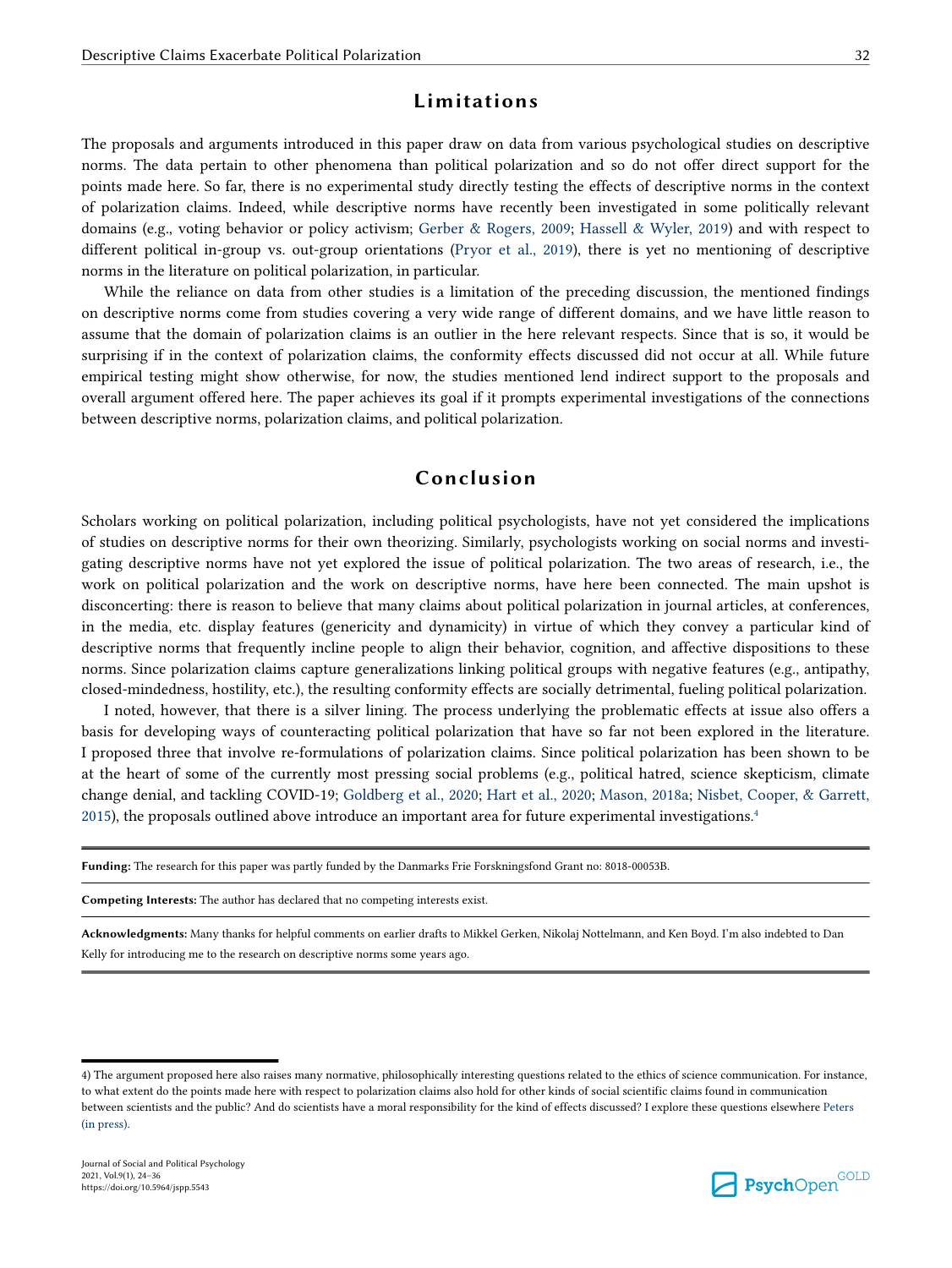### **Limitations**

The proposals and arguments introduced in this paper draw on data from various psychological studies on descriptive norms. The data pertain to other phenomena than political polarization and so do not offer direct support for the points made here. So far, there is no experimental study directly testing the effects of descriptive norms in the context of polarization claims. Indeed, while descriptive norms have recently been investigated in some politically relevant domains (e.g., voting behavior or policy activism; [Gerber & Rogers, 2009](#page-9-0); [Hassell & Wyler, 2019\)](#page-10-0) and with respect to different political in-group vs. out-group orientations ([Pryor et al., 2019](#page-11-0)), there is yet no mentioning of descriptive norms in the literature on political polarization, in particular.

While the reliance on data from other studies is a limitation of the preceding discussion, the mentioned findings on descriptive norms come from studies covering a very wide range of different domains, and we have little reason to assume that the domain of polarization claims is an outlier in the here relevant respects. Since that is so, it would be surprising if in the context of polarization claims, the conformity effects discussed did not occur at all. While future empirical testing might show otherwise, for now, the studies mentioned lend indirect support to the proposals and overall argument offered here. The paper achieves its goal if it prompts experimental investigations of the connections between descriptive norms, polarization claims, and political polarization.

# **Conclusion**

Scholars working on political polarization, including political psychologists, have not yet considered the implications of studies on descriptive norms for their own theorizing. Similarly, psychologists working on social norms and investigating descriptive norms have not yet explored the issue of political polarization. The two areas of research, i.e., the work on political polarization and the work on descriptive norms, have here been connected. The main upshot is disconcerting: there is reason to believe that many claims about political polarization in journal articles, at conferences, in the media, etc. display features (genericity and dynamicity) in virtue of which they convey a particular kind of descriptive norms that frequently incline people to align their behavior, cognition, and affective dispositions to these norms. Since polarization claims capture generalizations linking political groups with negative features (e.g., antipathy, closed-mindedness, hostility, etc.), the resulting conformity effects are socially detrimental, fueling political polarization.

I noted, however, that there is a silver lining. The process underlying the problematic effects at issue also offers a basis for developing ways of counteracting political polarization that have so far not been explored in the literature. I proposed three that involve re-formulations of polarization claims. Since political polarization has been shown to be at the heart of some of the currently most pressing social problems (e.g., political hatred, science skepticism, climate change denial, and tackling COVID-19; [Goldberg et al., 2020](#page-9-0); [Hart et al., 2020](#page-9-0); [Mason, 2018a](#page-10-0); [Nisbet, Cooper, & Garrett,](#page-10-0) [2015\)](#page-10-0), the proposals outlined above introduce an important area for future experimental investigations.<sup>4</sup>

|  |  |  | <b>Funding:</b> The research for this paper was partly funded by the Danmarks Frie Forskningsfond Grant no: 8018-00053B. |  |
|--|--|--|--------------------------------------------------------------------------------------------------------------------------|--|
|--|--|--|--------------------------------------------------------------------------------------------------------------------------|--|

**Competing Interests:** The author has declared that no competing interests exist.

**Acknowledgments:** Many thanks for helpful comments on earlier drafts to Mikkel Gerken, Nikolaj Nottelmann, and Ken Boyd. I'm also indebted to Dan Kelly for introducing me to the research on descriptive norms some years ago.



<sup>4)</sup> The argument proposed here also raises many normative, philosophically interesting questions related to the ethics of science communication. For instance, to what extent do the points made here with respect to polarization claims also hold for other kinds of social scientific claims found in communication between scientists and the public? And do scientists have a moral responsibility for the kind of effects discussed? I explore these questions elsewhere [Peters](#page-11-0) [\(in press\).](#page-11-0)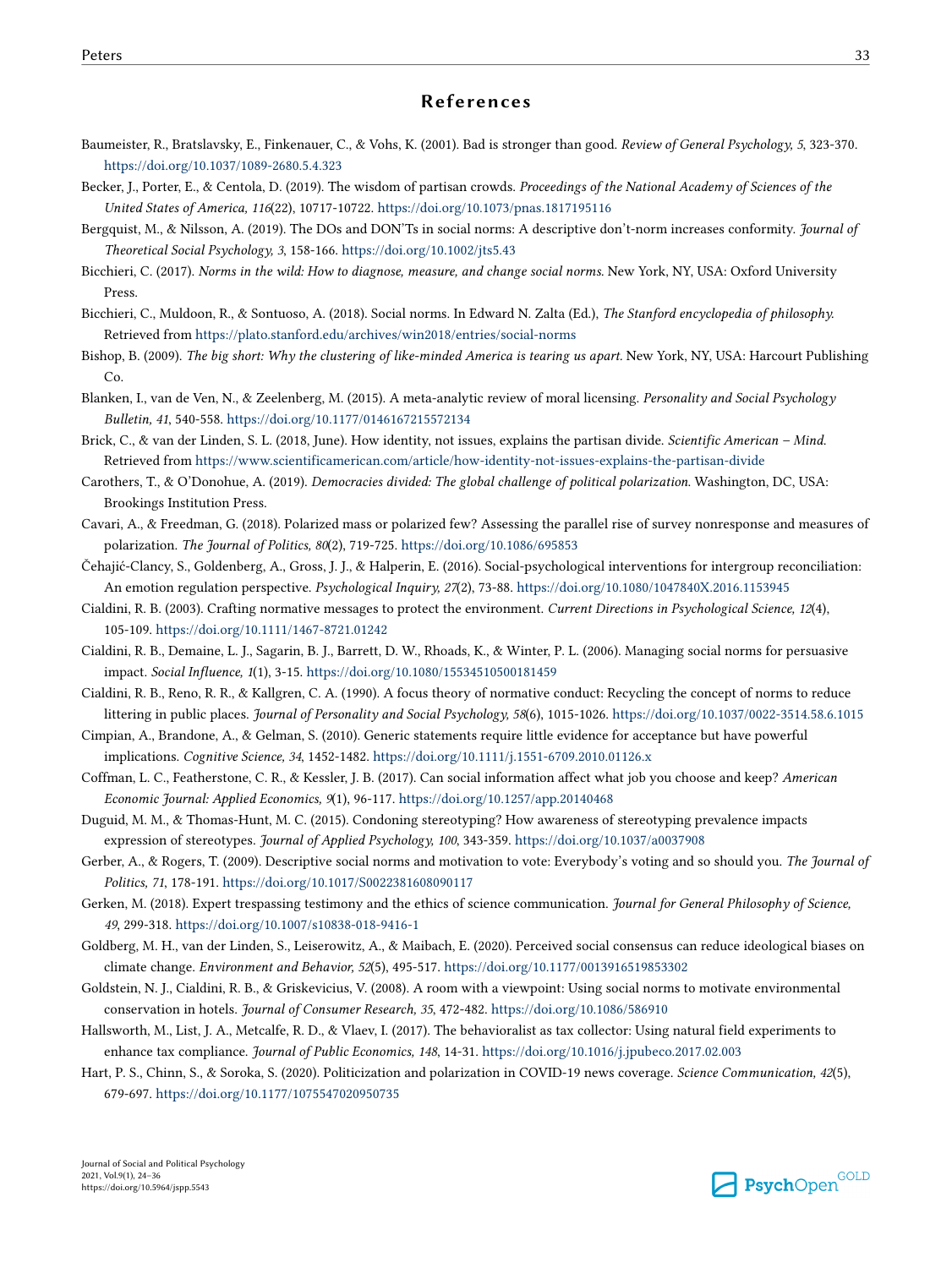### **References**

- <span id="page-9-0"></span>Baumeister, R., Bratslavsky, E., Finkenauer, C., & Vohs, K. (2001). Bad is stronger than good. *Review of General Psychology, 5*, 323-370. <https://doi.org/10.1037/1089-2680.5.4.323>
- Becker, J., Porter, E., & Centola, D. (2019). The wisdom of partisan crowds. *Proceedings of the National Academy of Sciences of the United States of America, 116*(22), 10717-10722.<https://doi.org/10.1073/pnas.1817195116>
- Bergquist, M., & Nilsson, A. (2019). The DOs and DON'Ts in social norms: A descriptive don't-norm increases conformity. *Journal of Theoretical Social Psychology, 3*, 158-166. <https://doi.org/10.1002/jts5.43>
- Bicchieri, C. (2017). *Norms in the wild: How to diagnose, measure, and change social norms.* New York, NY, USA: Oxford University Press.
- Bicchieri, C., Muldoon, R., & Sontuoso, A. (2018). Social norms. In Edward N. Zalta (Ed.), *The Stanford encyclopedia of philosophy.*  Retrieved from<https://plato.stanford.edu/archives/win2018/entries/social-norms>
- Bishop, B. (2009). *The big short: Why the clustering of like-minded America is tearing us apart.* New York, NY, USA: Harcourt Publishing Co.
- Blanken, I., van de Ven, N., & Zeelenberg, M. (2015). A meta-analytic review of moral licensing. *Personality and Social Psychology Bulletin, 41*, 540-558.<https://doi.org/10.1177/0146167215572134>
- Brick, C., & van der Linden, S. L. (2018, June). How identity, not issues, explains the partisan divide. *Scientific American Mind*. Retrieved from<https://www.scientificamerican.com/article/how-identity-not-issues-explains-the-partisan-divide>
- Carothers, T., & O'Donohue, A. (2019). *Democracies divided: The global challenge of political polarization*. Washington, DC, USA: Brookings Institution Press.
- Cavari, A., & Freedman, G. (2018). Polarized mass or polarized few? Assessing the parallel rise of survey nonresponse and measures of polarization. *The Journal of Politics, 80*(2), 719-725.<https://doi.org/10.1086/695853>
- Čehajić-Clancy, S., Goldenberg, A., Gross, J. J., & Halperin, E. (2016). Social-psychological interventions for intergroup reconciliation: An emotion regulation perspective. *Psychological Inquiry, 27*(2), 73-88.<https://doi.org/10.1080/1047840X.2016.1153945>
- Cialdini, R. B. (2003). Crafting normative messages to protect the environment. *Current Directions in Psychological Science, 12*(4), 105-109. <https://doi.org/10.1111/1467-8721.01242>
- Cialdini, R. B., Demaine, L. J., Sagarin, B. J., Barrett, D. W., Rhoads, K., & Winter, P. L. (2006). Managing social norms for persuasive impact. *Social Influence, 1*(1), 3-15. <https://doi.org/10.1080/15534510500181459>
- Cialdini, R. B., Reno, R. R., & Kallgren, C. A. (1990). A focus theory of normative conduct: Recycling the concept of norms to reduce littering in public places. *Journal of Personality and Social Psychology, 58*(6), 1015-1026.<https://doi.org/10.1037/0022-3514.58.6.1015>
- Cimpian, A., Brandone, A., & Gelman, S. (2010). Generic statements require little evidence for acceptance but have powerful implications. *Cognitive Science, 34*, 1452-1482.<https://doi.org/10.1111/j.1551-6709.2010.01126.x>
- Coffman, L. C., Featherstone, C. R., & Kessler, J. B. (2017). Can social information affect what job you choose and keep? *American Economic Journal: Applied Economics, 9*(1), 96-117. <https://doi.org/10.1257/app.20140468>
- Duguid, M. M., & Thomas-Hunt, M. C. (2015). Condoning stereotyping? How awareness of stereotyping prevalence impacts expression of stereotypes. *Journal of Applied Psychology, 100*, 343-359.<https://doi.org/10.1037/a0037908>
- Gerber, A., & Rogers, T. (2009). Descriptive social norms and motivation to vote: Everybody's voting and so should you. *The Journal of Politics, 71*, 178-191.<https://doi.org/10.1017/S0022381608090117>
- Gerken, M. (2018). Expert trespassing testimony and the ethics of science communication. *Journal for General Philosophy of Science, 49*, 299-318. <https://doi.org/10.1007/s10838-018-9416-1>
- Goldberg, M. H., van der Linden, S., Leiserowitz, A., & Maibach, E. (2020). Perceived social consensus can reduce ideological biases on climate change. *Environment and Behavior, 52*(5), 495-517. <https://doi.org/10.1177/0013916519853302>
- Goldstein, N. J., Cialdini, R. B., & Griskevicius, V. (2008). A room with a viewpoint: Using social norms to motivate environmental conservation in hotels. *Journal of Consumer Research, 35*, 472-482.<https://doi.org/10.1086/586910>
- Hallsworth, M., List, J. A., Metcalfe, R. D., & Vlaev, I. (2017). The behavioralist as tax collector: Using natural field experiments to enhance tax compliance. *Journal of Public Economics, 148*, 14-31. <https://doi.org/10.1016/j.jpubeco.2017.02.003>
- Hart, P. S., Chinn, S., & Soroka, S. (2020). Politicization and polarization in COVID-19 news coverage. *Science Communication, 42*(5), 679-697. <https://doi.org/10.1177/1075547020950735>

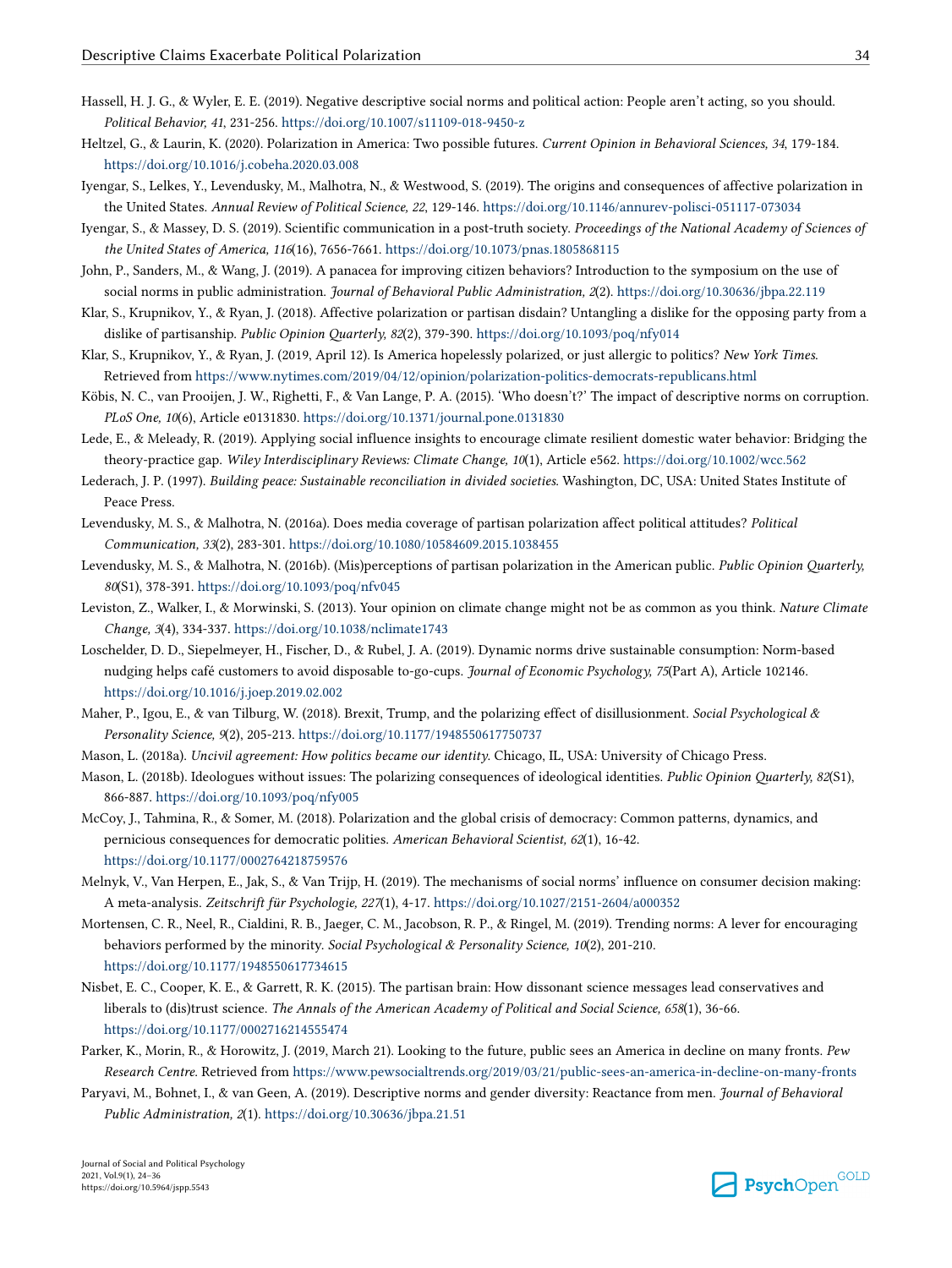- <span id="page-10-0"></span>Hassell, H. J. G., & Wyler, E. E. (2019). Negative descriptive social norms and political action: People aren't acting, so you should. *Political Behavior, 41*, 231-256.<https://doi.org/10.1007/s11109-018-9450-z>
- Heltzel, G., & Laurin, K. (2020). Polarization in America: Two possible futures. *Current Opinion in Behavioral Sciences, 34*, 179-184. <https://doi.org/10.1016/j.cobeha.2020.03.008>
- Iyengar, S., Lelkes, Y., Levendusky, M., Malhotra, N., & Westwood, S. (2019). The origins and consequences of affective polarization in the United States. *Annual Review of Political Science, 22*, 129-146.<https://doi.org/10.1146/annurev-polisci-051117-073034>
- Iyengar, S., & Massey, D. S. (2019). Scientific communication in a post-truth society. *Proceedings of the National Academy of Sciences of the United States of America, 116*(16), 7656-7661.<https://doi.org/10.1073/pnas.1805868115>
- John, P., Sanders, M., & Wang, J. (2019). A panacea for improving citizen behaviors? Introduction to the symposium on the use of social norms in public administration. *Journal of Behavioral Public Administration, 2*(2).<https://doi.org/10.30636/jbpa.22.119>
- Klar, S., Krupnikov, Y., & Ryan, J. (2018). Affective polarization or partisan disdain? Untangling a dislike for the opposing party from a dislike of partisanship. *Public Opinion Quarterly, 82*(2), 379-390.<https://doi.org/10.1093/poq/nfy014>
- Klar, S., Krupnikov, Y., & Ryan, J. (2019, April 12). Is America hopelessly polarized, or just allergic to politics? *New York Times*. Retrieved from<https://www.nytimes.com/2019/04/12/opinion/polarization-politics-democrats-republicans.html>
- Köbis, N. C., van Prooijen, J. W., Righetti, F., & Van Lange, P. A. (2015). 'Who doesn't?' The impact of descriptive norms on corruption. *PLoS One, 10*(6), Article e0131830. <https://doi.org/10.1371/journal.pone.0131830>
- Lede, E., & Meleady, R. (2019). Applying social influence insights to encourage climate resilient domestic water behavior: Bridging the theory-practice gap. *Wiley Interdisciplinary Reviews: Climate Change, 10*(1), Article e562.<https://doi.org/10.1002/wcc.562>
- Lederach, J. P. (1997). *Building peace: Sustainable reconciliation in divided societies*. Washington, DC, USA: United States Institute of Peace Press.
- Levendusky, M. S., & Malhotra, N. (2016a). Does media coverage of partisan polarization affect political attitudes? *Political Communication, 33*(2), 283-301. <https://doi.org/10.1080/10584609.2015.1038455>
- Levendusky, M. S., & Malhotra, N. (2016b). (Mis)perceptions of partisan polarization in the American public. *Public Opinion Quarterly, 80*(S1), 378-391. <https://doi.org/10.1093/poq/nfv045>
- Leviston, Z., Walker, I., & Morwinski, S. (2013). Your opinion on climate change might not be as common as you think. *Nature Climate Change, 3*(4), 334-337. <https://doi.org/10.1038/nclimate1743>
- Loschelder, D. D., Siepelmeyer, H., Fischer, D., & Rubel, J. A. (2019). Dynamic norms drive sustainable consumption: Norm-based nudging helps café customers to avoid disposable to-go-cups. *Journal of Economic Psychology, 75*(Part A), Article 102146. <https://doi.org/10.1016/j.joep.2019.02.002>
- Maher, P., Igou, E., & van Tilburg, W. (2018). Brexit, Trump, and the polarizing effect of disillusionment. *Social Psychological & Personality Science, 9*(2), 205-213. <https://doi.org/10.1177/1948550617750737>
- Mason, L. (2018a). *Uncivil agreement: How politics became our identity*. Chicago, IL, USA: University of Chicago Press.
- Mason, L. (2018b). Ideologues without issues: The polarizing consequences of ideological identities. *Public Opinion Quarterly, 82*(S1), 866-887. <https://doi.org/10.1093/poq/nfy005>
- McCoy, J., Tahmina, R., & Somer, M. (2018). Polarization and the global crisis of democracy: Common patterns, dynamics, and pernicious consequences for democratic polities. *American Behavioral Scientist, 62*(1), 16-42. <https://doi.org/10.1177/0002764218759576>
- Melnyk, V., Van Herpen, E., Jak, S., & Van Trijp, H. (2019). The mechanisms of social norms' influence on consumer decision making: A meta-analysis. *Zeitschrift für Psychologie, 227*(1), 4-17.<https://doi.org/10.1027/2151-2604/a000352>
- Mortensen, C. R., Neel, R., Cialdini, R. B., Jaeger, C. M., Jacobson, R. P., & Ringel, M. (2019). Trending norms: A lever for encouraging behaviors performed by the minority. *Social Psychological & Personality Science, 10*(2), 201-210. <https://doi.org/10.1177/1948550617734615>
- Nisbet, E. C., Cooper, K. E., & Garrett, R. K. (2015). The partisan brain: How dissonant science messages lead conservatives and liberals to (dis)trust science. *The Annals of the American Academy of Political and Social Science, 658*(1), 36-66. <https://doi.org/10.1177/0002716214555474>
- Parker, K., Morin, R., & Horowitz, J. (2019, March 21). Looking to the future, public sees an America in decline on many fronts. *Pew Research Centre*. Retrieved from<https://www.pewsocialtrends.org/2019/03/21/public-sees-an-america-in-decline-on-many-fronts>
- Paryavi, M., Bohnet, I., & van Geen, A. (2019). Descriptive norms and gender diversity: Reactance from men. *Journal of Behavioral Public Administration, 2*(1). <https://doi.org/10.30636/jbpa.21.51>

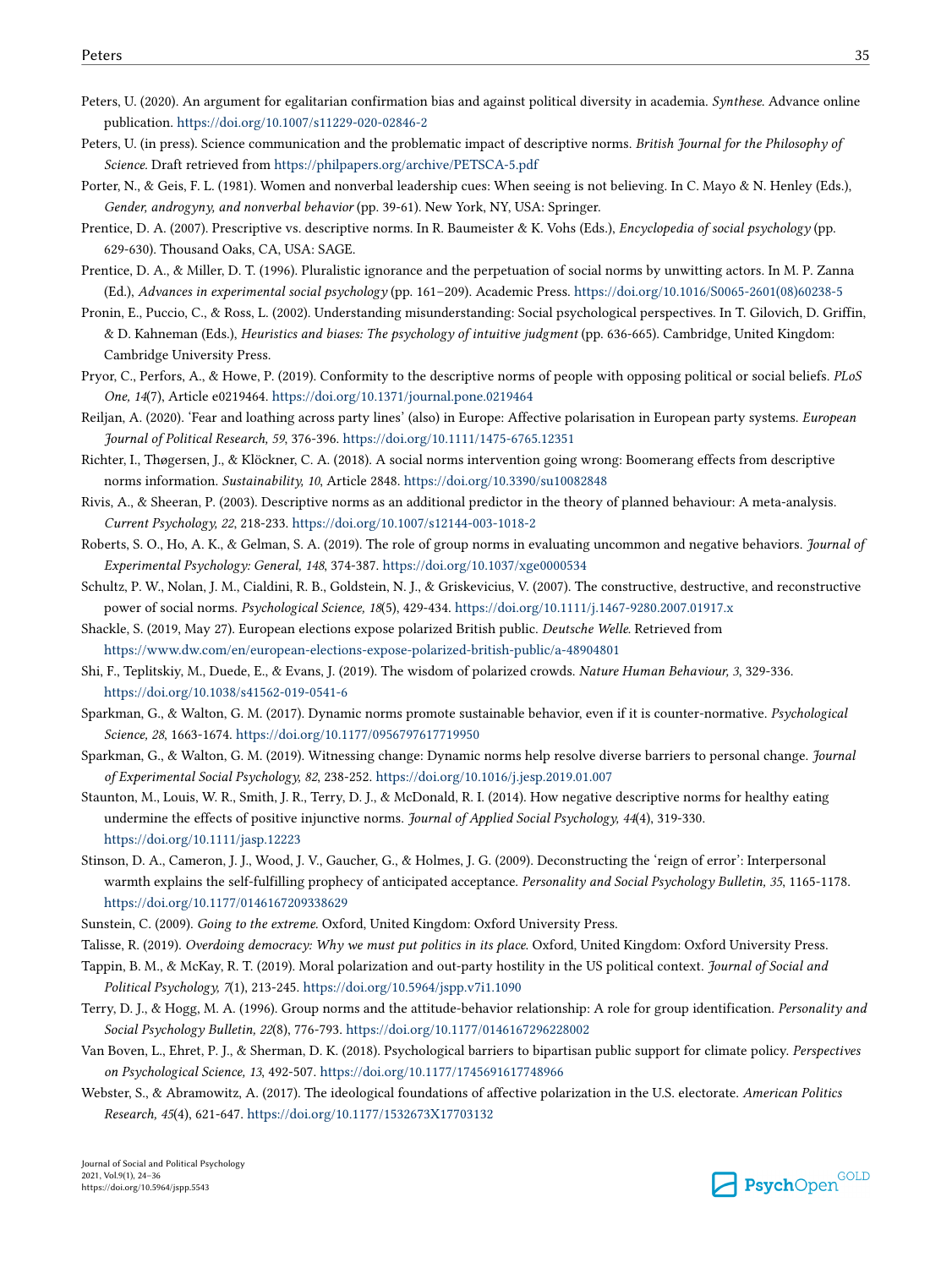- <span id="page-11-0"></span>Peters, U. (2020). An argument for egalitarian confirmation bias and against political diversity in academia. *Synthese*. Advance online publication. <https://doi.org/10.1007/s11229-020-02846-2>
- Peters, U. (in press). Science communication and the problematic impact of descriptive norms. *British Journal for the Philosophy of Science.* Draft retrieved from <https://philpapers.org/archive/PETSCA-5.pdf>
- Porter, N., & Geis, F. L. (1981). Women and nonverbal leadership cues: When seeing is not believing. In C. Mayo & N. Henley (Eds.), *Gender, androgyny, and nonverbal behavior* (pp. 39-61). New York, NY, USA: Springer.
- Prentice, D. A. (2007). Prescriptive vs. descriptive norms. In R. Baumeister & K. Vohs (Eds.), *Encyclopedia of social psychology* (pp. 629-630). Thousand Oaks, CA, USA: SAGE.
- Prentice, D. A., & Miller, D. T. (1996). Pluralistic ignorance and the perpetuation of social norms by unwitting actors. In M. P. Zanna (Ed.), *Advances in experimental social psychology* (pp. 161–209). Academic Press. [https://doi.org/10.1016/S0065-2601\(08\)60238-5](https://doi.org/10.1016/S0065-2601(08)60238-5)
- Pronin, E., Puccio, C., & Ross, L. (2002). Understanding misunderstanding: Social psychological perspectives. In T. Gilovich, D. Griffin, & D. Kahneman (Eds.), *Heuristics and biases: The psychology of intuitive judgment* (pp. 636-665). Cambridge, United Kingdom: Cambridge University Press.
- Pryor, C., Perfors, A., & Howe, P. (2019). Conformity to the descriptive norms of people with opposing political or social beliefs. *PLoS One, 14*(7), Article e0219464.<https://doi.org/10.1371/journal.pone.0219464>
- Reiljan, A. (2020). 'Fear and loathing across party lines' (also) in Europe: Affective polarisation in European party systems. *European Journal of Political Research, 59*, 376-396. <https://doi.org/10.1111/1475-6765.12351>
- Richter, I., Thøgersen, J., & Klöckner, C. A. (2018). A social norms intervention going wrong: Boomerang effects from descriptive norms information. *Sustainability, 10*, Article 2848. <https://doi.org/10.3390/su10082848>
- Rivis, A., & Sheeran, P. (2003). Descriptive norms as an additional predictor in the theory of planned behaviour: A meta-analysis. *Current Psychology, 22*, 218-233. <https://doi.org/10.1007/s12144-003-1018-2>
- Roberts, S. O., Ho, A. K., & Gelman, S. A. (2019). The role of group norms in evaluating uncommon and negative behaviors. *Journal of Experimental Psychology: General, 148*, 374-387. <https://doi.org/10.1037/xge0000534>
- Schultz, P. W., Nolan, J. M., Cialdini, R. B., Goldstein, N. J., & Griskevicius, V. (2007). The constructive, destructive, and reconstructive power of social norms. *Psychological Science, 18*(5), 429-434. <https://doi.org/10.1111/j.1467-9280.2007.01917.x>
- Shackle, S. (2019, May 27). European elections expose polarized British public. *Deutsche Welle.* Retrieved from <https://www.dw.com/en/european-elections-expose-polarized-british-public/a-48904801>
- Shi, F., Teplitskiy, M., Duede, E., & Evans, J. (2019). The wisdom of polarized crowds. *Nature Human Behaviour, 3*, 329-336. <https://doi.org/10.1038/s41562-019-0541-6>
- Sparkman, G., & Walton, G. M. (2017). Dynamic norms promote sustainable behavior, even if it is counter-normative. *Psychological Science, 28*, 1663-1674. <https://doi.org/10.1177/0956797617719950>
- Sparkman, G., & Walton, G. M. (2019). Witnessing change: Dynamic norms help resolve diverse barriers to personal change. *Journal of Experimental Social Psychology, 82*, 238-252.<https://doi.org/10.1016/j.jesp.2019.01.007>
- Staunton, M., Louis, W. R., Smith, J. R., Terry, D. J., & McDonald, R. I. (2014). How negative descriptive norms for healthy eating undermine the effects of positive injunctive norms. *Journal of Applied Social Psychology, 44*(4), 319-330. <https://doi.org/10.1111/jasp.12223>
- Stinson, D. A., Cameron, J. J., Wood, J. V., Gaucher, G., & Holmes, J. G. (2009). Deconstructing the 'reign of error': Interpersonal warmth explains the self-fulfilling prophecy of anticipated acceptance. *Personality and Social Psychology Bulletin, 35*, 1165-1178. <https://doi.org/10.1177/0146167209338629>
- Sunstein, C. (2009). *Going to the extreme.* Oxford, United Kingdom: Oxford University Press.
- Talisse, R. (2019). *Overdoing democracy: Why we must put politics in its place*. Oxford, United Kingdom: Oxford University Press.
- Tappin, B. M., & McKay, R. T. (2019). Moral polarization and out-party hostility in the US political context. *Journal of Social and Political Psychology, 7*(1), 213-245. <https://doi.org/10.5964/jspp.v7i1.1090>
- Terry, D. J., & Hogg, M. A. (1996). Group norms and the attitude-behavior relationship: A role for group identification. *Personality and Social Psychology Bulletin, 22*(8), 776-793. <https://doi.org/10.1177/0146167296228002>
- Van Boven, L., Ehret, P. J., & Sherman, D. K. (2018). Psychological barriers to bipartisan public support for climate policy. *Perspectives on Psychological Science, 13*, 492-507.<https://doi.org/10.1177/1745691617748966>
- Webster, S., & Abramowitz, A. (2017). The ideological foundations of affective polarization in the U.S. electorate. *American Politics Research, 45*(4), 621-647. <https://doi.org/10.1177/1532673X17703132>